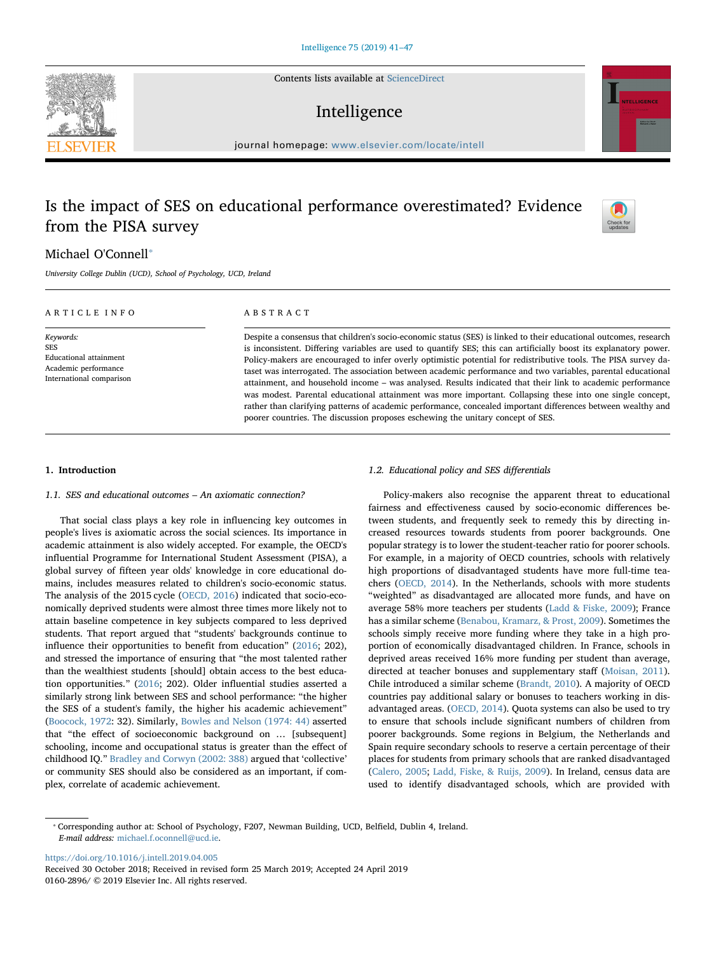Contents lists available at [ScienceDirect](http://www.sciencedirect.com/science/journal/01602896)

# Intelligence

journal homepage: [www.elsevier.com/locate/intell](https://www.elsevier.com/locate/intell)

# Is the impact of SES on educational performance overestimated? Evidence from the PISA survey

# Michael O'Connell<sup>\*</sup>

University College Dublin (UCD), School of Psychology, UCD, Ireland

| ARTICLE INFO                                                                                                 | ABSTRACT                                                                                                                                                                                                                                                                                                                                                                                                                                                                                                                                                                                                                                                                                                                                                                                                                                                                                                |  |
|--------------------------------------------------------------------------------------------------------------|---------------------------------------------------------------------------------------------------------------------------------------------------------------------------------------------------------------------------------------------------------------------------------------------------------------------------------------------------------------------------------------------------------------------------------------------------------------------------------------------------------------------------------------------------------------------------------------------------------------------------------------------------------------------------------------------------------------------------------------------------------------------------------------------------------------------------------------------------------------------------------------------------------|--|
| Keywords:<br><b>SES</b><br><b>Educational attainment</b><br>Academic performance<br>International comparison | Despite a consensus that children's socio-economic status (SES) is linked to their educational outcomes, research<br>is inconsistent. Differing variables are used to quantify SES; this can artificially boost its explanatory power.<br>Policy-makers are encouraged to infer overly optimistic potential for redistributive tools. The PISA survey da-<br>taset was interrogated. The association between academic performance and two variables, parental educational<br>attainment, and household income – was analysed. Results indicated that their link to academic performance<br>was modest. Parental educational attainment was more important. Collapsing these into one single concept,<br>rather than clarifying patterns of academic performance, concealed important differences between wealthy and<br>poorer countries. The discussion proposes eschewing the unitary concept of SES. |  |

#### 1. Introduction

#### 1.1. SES and educational outcomes – An axiomatic connection?

That social class plays a key role in influencing key outcomes in people's lives is axiomatic across the social sciences. Its importance in academic attainment is also widely accepted. For example, the OECD's influential Programme for International Student Assessment (PISA), a global survey of fifteen year olds' knowledge in core educational domains, includes measures related to children's socio-economic status. The analysis of the 2015 cycle [\(OECD, 2016](#page-6-0)) indicated that socio-economically deprived students were almost three times more likely not to attain baseline competence in key subjects compared to less deprived students. That report argued that "students' backgrounds continue to influence their opportunities to benefit from education" ([2016](#page-6-0); 202), and stressed the importance of ensuring that "the most talented rather than the wealthiest students [should] obtain access to the best education opportunities." ([2016;](#page-6-0) 202). Older influential studies asserted a similarly strong link between SES and school performance: "the higher the SES of a student's family, the higher his academic achievement" ([Boocock, 1972:](#page-6-1) 32). Similarly, [Bowles and Nelson \(1974: 44\)](#page-6-2) asserted that "the effect of socioeconomic background on … [subsequent] schooling, income and occupational status is greater than the effect of childhood IQ." [Bradley and Corwyn \(2002: 388\)](#page-6-3) argued that 'collective' or community SES should also be considered as an important, if complex, correlate of academic achievement.

#### 1.2. Educational policy and SES differentials

Policy-makers also recognise the apparent threat to educational fairness and effectiveness caused by socio-economic differences between students, and frequently seek to remedy this by directing increased resources towards students from poorer backgrounds. One popular strategy is to lower the student-teacher ratio for poorer schools. For example, in a majority of OECD countries, schools with relatively high proportions of disadvantaged students have more full-time teachers ([OECD, 2014](#page-6-4)). In the Netherlands, schools with more students "weighted" as disadvantaged are allocated more funds, and have on average 58% more teachers per students ([Ladd & Fiske, 2009](#page-6-5)); France has a similar scheme [\(Benabou, Kramarz, & Prost, 2009](#page-6-6)). Sometimes the schools simply receive more funding where they take in a high proportion of economically disadvantaged children. In France, schools in deprived areas received 16% more funding per student than average, directed at teacher bonuses and supplementary staff [\(Moisan,](#page-6-7) 2011). Chile introduced a similar scheme ([Brandt, 2010](#page-6-8)). A majority of OECD countries pay additional salary or bonuses to teachers working in disadvantaged areas. [\(OECD, 2014\)](#page-6-4). Quota systems can also be used to try to ensure that schools include significant numbers of children from poorer backgrounds. Some regions in Belgium, the Netherlands and Spain require secondary schools to reserve a certain percentage of their places for students from primary schools that are ranked disadvantaged ([Calero, 2005](#page-6-9); [Ladd, Fiske, & Ruijs, 2009\)](#page-6-10). In Ireland, census data are used to identify disadvantaged schools, which are provided with

<https://doi.org/10.1016/j.intell.2019.04.005>

Received 30 October 2018; Received in revised form 25 March 2019; Accepted 24 April 2019 0160-2896/ © 2019 Elsevier Inc. All rights reserved.





 $\frac{1}{\sqrt{2}}$ 

<span id="page-0-0"></span><sup>⁎</sup> Corresponding author at: School of Psychology, F207, Newman Building, UCD, Belfield, Dublin 4, Ireland. E-mail address: [michael.f.oconnell@ucd.ie.](mailto:michael.f.oconnell@ucd.ie)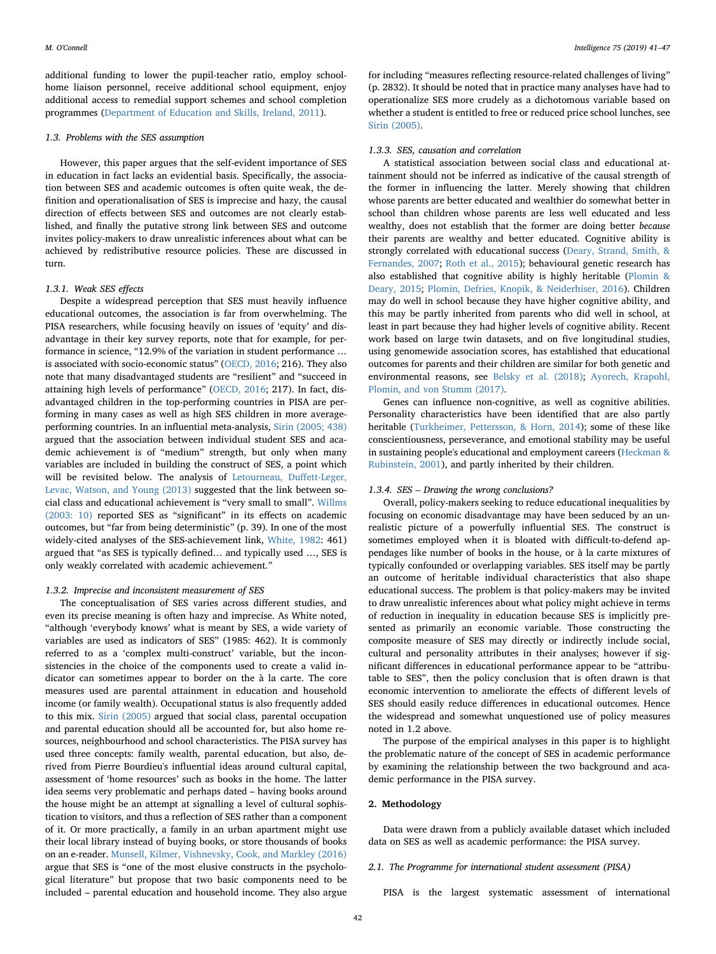additional funding to lower the pupil-teacher ratio, employ schoolhome liaison personnel, receive additional school equipment, enjoy additional access to remedial support schemes and school completion programmes [\(Department of Education and Skills, Ireland, 2011](#page-6-11)).

#### 1.3. Problems with the SES assumption

However, this paper argues that the self-evident importance of SES in education in fact lacks an evidential basis. Specifically, the association between SES and academic outcomes is often quite weak, the definition and operationalisation of SES is imprecise and hazy, the causal direction of effects between SES and outcomes are not clearly established, and finally the putative strong link between SES and outcome invites policy-makers to draw unrealistic inferences about what can be achieved by redistributive resource policies. These are discussed in turn.

#### 1.3.1. Weak SES effects

Despite a widespread perception that SES must heavily influence educational outcomes, the association is far from overwhelming. The PISA researchers, while focusing heavily on issues of 'equity' and disadvantage in their key survey reports, note that for example, for performance in science, "12.9% of the variation in student performance … is associated with socio-economic status" ([OECD, 2016](#page-6-0); 216). They also note that many disadvantaged students are "resilient" and "succeed in attaining high levels of performance" [\(OECD, 2016](#page-6-0); 217). In fact, disadvantaged children in the top-performing countries in PISA are performing in many cases as well as high SES children in more averageperforming countries. In an influential meta-analysis, [Sirin \(2005; 438\)](#page-6-12) argued that the association between individual student SES and academic achievement is of "medium" strength, but only when many variables are included in building the construct of SES, a point which will be revisited below. The analysis of [Letourneau, Du](#page-6-13)ffett-Leger, [Levac, Watson, and Young \(2013\)](#page-6-13) suggested that the link between social class and educational achievement is "very small to small". [Willms](#page-6-14) [\(2003: 10\)](#page-6-14) reported SES as "significant" in its effects on academic outcomes, but "far from being deterministic" (p. 39). In one of the most widely-cited analyses of the SES-achievement link, [White, 1982:](#page-6-15) 461) argued that "as SES is typically defined… and typically used …, SES is only weakly correlated with academic achievement."

#### 1.3.2. Imprecise and inconsistent measurement of SES

The conceptualisation of SES varies across different studies, and even its precise meaning is often hazy and imprecise. As White noted, "although 'everybody knows' what is meant by SES, a wide variety of variables are used as indicators of SES" (1985: 462). It is commonly referred to as a 'complex multi-construct' variable, but the inconsistencies in the choice of the components used to create a valid indicator can sometimes appear to border on the à la carte. The core measures used are parental attainment in education and household income (or family wealth). Occupational status is also frequently added to this mix. [Sirin \(2005\)](#page-6-12) argued that social class, parental occupation and parental education should all be accounted for, but also home resources, neighbourhood and school characteristics. The PISA survey has used three concepts: family wealth, parental education, but also, derived from Pierre Bourdieu's influential ideas around cultural capital, assessment of 'home resources' such as books in the home. The latter idea seems very problematic and perhaps dated – having books around the house might be an attempt at signalling a level of cultural sophistication to visitors, and thus a reflection of SES rather than a component of it. Or more practically, a family in an urban apartment might use their local library instead of buying books, or store thousands of books on an e-reader. [Munsell, Kilmer, Vishnevsky, Cook, and Markley \(2016\)](#page-6-16) argue that SES is "one of the most elusive constructs in the psychological literature" but propose that two basic components need to be included – parental education and household income. They also argue

for including "measures reflecting resource-related challenges of living" (p. 2832). It should be noted that in practice many analyses have had to operationalize SES more crudely as a dichotomous variable based on whether a student is entitled to free or reduced price school lunches, see [Sirin \(2005\).](#page-6-12)

#### 1.3.3. SES, causation and correlation

A statistical association between social class and educational attainment should not be inferred as indicative of the causal strength of the former in influencing the latter. Merely showing that children whose parents are better educated and wealthier do somewhat better in school than children whose parents are less well educated and less wealthy, does not establish that the former are doing better because their parents are wealthy and better educated. Cognitive ability is strongly correlated with educational success ([Deary, Strand, Smith, &](#page-6-17) [Fernandes, 2007;](#page-6-17) [Roth et al., 2015\)](#page-6-18); behavioural genetic research has also established that cognitive ability is highly heritable [\(Plomin &](#page-6-19) [Deary, 2015;](#page-6-19) [Plomin, Defries, Knopik, & Neiderhiser, 2016](#page-6-20)). Children may do well in school because they have higher cognitive ability, and this may be partly inherited from parents who did well in school, at least in part because they had higher levels of cognitive ability. Recent work based on large twin datasets, and on five longitudinal studies, using genomewide association scores, has established that educational outcomes for parents and their children are similar for both genetic and environmental reasons, see [Belsky et al. \(2018\)](#page-6-21); [Ayorech, Krapohl,](#page-6-22) [Plomin, and von Stumm \(2017\).](#page-6-22)

Genes can influence non-cognitive, as well as cognitive abilities. Personality characteristics have been identified that are also partly heritable [\(Turkheimer, Pettersson, & Horn, 2014](#page-6-23)); some of these like conscientiousness, perseverance, and emotional stability may be useful in sustaining people's educational and employment careers ([Heckman &](#page-6-24) [Rubinstein, 2001](#page-6-24)), and partly inherited by their children.

# 1.3.4. SES – Drawing the wrong conclusions?

Overall, policy-makers seeking to reduce educational inequalities by focusing on economic disadvantage may have been seduced by an unrealistic picture of a powerfully influential SES. The construct is sometimes employed when it is bloated with difficult-to-defend appendages like number of books in the house, or à la carte mixtures of typically confounded or overlapping variables. SES itself may be partly an outcome of heritable individual characteristics that also shape educational success. The problem is that policy-makers may be invited to draw unrealistic inferences about what policy might achieve in terms of reduction in inequality in education because SES is implicitly presented as primarily an economic variable. Those constructing the composite measure of SES may directly or indirectly include social, cultural and personality attributes in their analyses; however if significant differences in educational performance appear to be "attributable to SES", then the policy conclusion that is often drawn is that economic intervention to ameliorate the effects of different levels of SES should easily reduce differences in educational outcomes. Hence the widespread and somewhat unquestioned use of policy measures noted in 1.2 above.

The purpose of the empirical analyses in this paper is to highlight the problematic nature of the concept of SES in academic performance by examining the relationship between the two background and academic performance in the PISA survey.

# 2. Methodology

Data were drawn from a publicly available dataset which included data on SES as well as academic performance: the PISA survey.

#### 2.1. The Programme for international student assessment (PISA)

PISA is the largest systematic assessment of international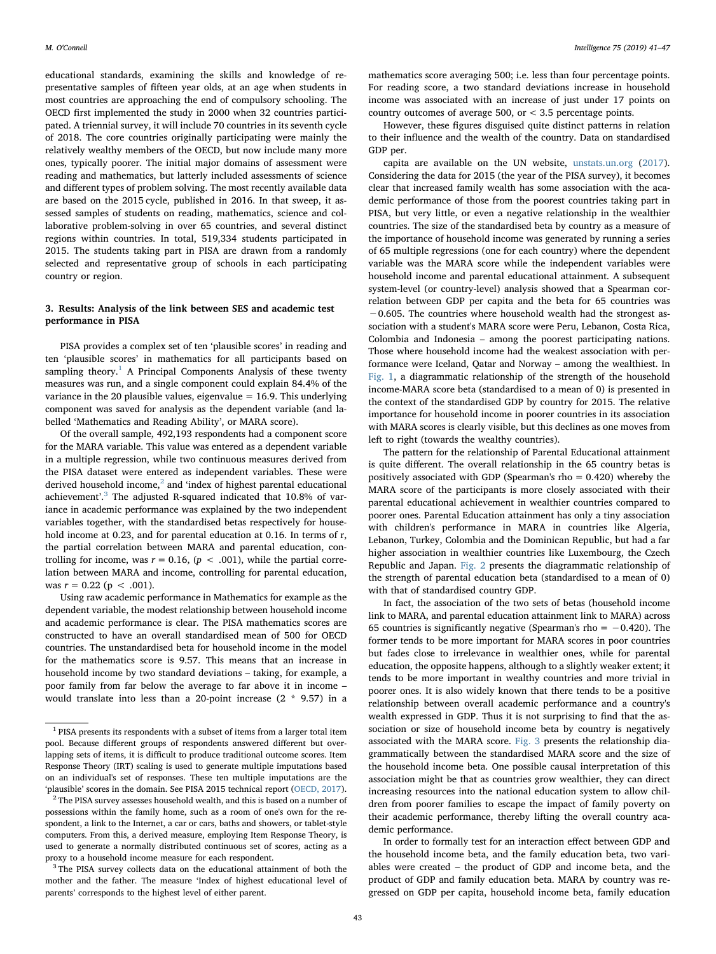educational standards, examining the skills and knowledge of representative samples of fifteen year olds, at an age when students in most countries are approaching the end of compulsory schooling. The OECD first implemented the study in 2000 when 32 countries participated. A triennial survey, it will include 70 countries in its seventh cycle of 2018. The core countries originally participating were mainly the relatively wealthy members of the OECD, but now include many more ones, typically poorer. The initial major domains of assessment were reading and mathematics, but latterly included assessments of science and different types of problem solving. The most recently available data are based on the 2015 cycle, published in 2016. In that sweep, it assessed samples of students on reading, mathematics, science and collaborative problem-solving in over 65 countries, and several distinct regions within countries. In total, 519,334 students participated in 2015. The students taking part in PISA are drawn from a randomly selected and representative group of schools in each participating country or region.

# 3. Results: Analysis of the link between SES and academic test performance in PISA

PISA provides a complex set of ten 'plausible scores' in reading and ten 'plausible scores' in mathematics for all participants based on sampling theory.<sup>[1](#page-2-0)</sup> A Principal Components Analysis of these twenty measures was run, and a single component could explain 84.4% of the variance in the 20 plausible values, eigenvalue = 16.9. This underlying component was saved for analysis as the dependent variable (and labelled 'Mathematics and Reading Ability', or MARA score).

Of the overall sample, 492,193 respondents had a component score for the MARA variable. This value was entered as a dependent variable in a multiple regression, while two continuous measures derived from the PISA dataset were entered as independent variables. These were derived household income, $<sup>2</sup>$  $<sup>2</sup>$  $<sup>2</sup>$  and 'index of highest parental educational</sup> achievement'.<sup>[3](#page-2-2)</sup> The adjusted R-squared indicated that 10.8% of variance in academic performance was explained by the two independent variables together, with the standardised betas respectively for household income at 0.23, and for parental education at 0.16. In terms of r, the partial correlation between MARA and parental education, controlling for income, was  $r = 0.16$ ,  $(p < .001)$ , while the partial correlation between MARA and income, controlling for parental education, was  $r = 0.22$  (p < .001).

Using raw academic performance in Mathematics for example as the dependent variable, the modest relationship between household income and academic performance is clear. The PISA mathematics scores are constructed to have an overall standardised mean of 500 for OECD countries. The unstandardised beta for household income in the model for the mathematics score is 9.57. This means that an increase in household income by two standard deviations – taking, for example, a poor family from far below the average to far above it in income – would translate into less than a 20-point increase (2 \* 9.57) in a

mathematics score averaging 500; i.e. less than four percentage points. For reading score, a two standard deviations increase in household income was associated with an increase of just under 17 points on country outcomes of average 500, or < 3.5 percentage points.

However, these figures disguised quite distinct patterns in relation to their influence and the wealth of the country. Data on standardised GDP per.

capita are available on the UN website, [unstats.un.org](http://unstats.un.org) ([2017](#page-6-25)). Considering the data for 2015 (the year of the PISA survey), it becomes clear that increased family wealth has some association with the academic performance of those from the poorest countries taking part in PISA, but very little, or even a negative relationship in the wealthier countries. The size of the standardised beta by country as a measure of the importance of household income was generated by running a series of 65 multiple regressions (one for each country) where the dependent variable was the MARA score while the independent variables were household income and parental educational attainment. A subsequent system-level (or country-level) analysis showed that a Spearman correlation between GDP per capita and the beta for 65 countries was −0.605. The countries where household wealth had the strongest association with a student's MARA score were Peru, Lebanon, Costa Rica, Colombia and Indonesia – among the poorest participating nations. Those where household income had the weakest association with performance were Iceland, Qatar and Norway – among the wealthiest. In [Fig. 1,](#page-3-0) a diagrammatic relationship of the strength of the household income-MARA score beta (standardised to a mean of 0) is presented in the context of the standardised GDP by country for 2015. The relative importance for household income in poorer countries in its association with MARA scores is clearly visible, but this declines as one moves from left to right (towards the wealthy countries).

The pattern for the relationship of Parental Educational attainment is quite different. The overall relationship in the 65 country betas is positively associated with GDP (Spearman's rho = 0.420) whereby the MARA score of the participants is more closely associated with their parental educational achievement in wealthier countries compared to poorer ones. Parental Education attainment has only a tiny association with children's performance in MARA in countries like Algeria, Lebanon, Turkey, Colombia and the Dominican Republic, but had a far higher association in wealthier countries like Luxembourg, the Czech Republic and Japan. [Fig. 2](#page-3-1) presents the diagrammatic relationship of the strength of parental education beta (standardised to a mean of 0) with that of standardised country GDP.

In fact, the association of the two sets of betas (household income link to MARA, and parental education attainment link to MARA) across 65 countries is significantly negative (Spearman's rho =  $-0.420$ ). The former tends to be more important for MARA scores in poor countries but fades close to irrelevance in wealthier ones, while for parental education, the opposite happens, although to a slightly weaker extent; it tends to be more important in wealthy countries and more trivial in poorer ones. It is also widely known that there tends to be a positive relationship between overall academic performance and a country's wealth expressed in GDP. Thus it is not surprising to find that the association or size of household income beta by country is negatively associated with the MARA score. [Fig. 3](#page-4-0) presents the relationship diagrammatically between the standardised MARA score and the size of the household income beta. One possible causal interpretation of this association might be that as countries grow wealthier, they can direct increasing resources into the national education system to allow children from poorer families to escape the impact of family poverty on their academic performance, thereby lifting the overall country academic performance.

In order to formally test for an interaction effect between GDP and the household income beta, and the family education beta, two variables were created – the product of GDP and income beta, and the product of GDP and family education beta. MARA by country was regressed on GDP per capita, household income beta, family education

<span id="page-2-0"></span> $^{\rm 1}$  PISA presents its respondents with a subset of items from a larger total item pool. Because different groups of respondents answered different but overlapping sets of items, it is difficult to produce traditional outcome scores. Item Response Theory (IRT) scaling is used to generate multiple imputations based on an individual's set of responses. These ten multiple imputations are the 'plausible' scores in the domain. See PISA 2015 technical report ([OECD, 2017\)](#page-6-26).

<span id="page-2-1"></span><sup>&</sup>lt;sup>2</sup> The PISA survey assesses household wealth, and this is based on a number of possessions within the family home, such as a room of one's own for the respondent, a link to the Internet, a car or cars, baths and showers, or tablet-style computers. From this, a derived measure, employing Item Response Theory, is used to generate a normally distributed continuous set of scores, acting as a proxy to a household income measure for each respondent.

<span id="page-2-2"></span><sup>3</sup> The PISA survey collects data on the educational attainment of both the mother and the father. The measure 'Index of highest educational level of parents' corresponds to the highest level of either parent.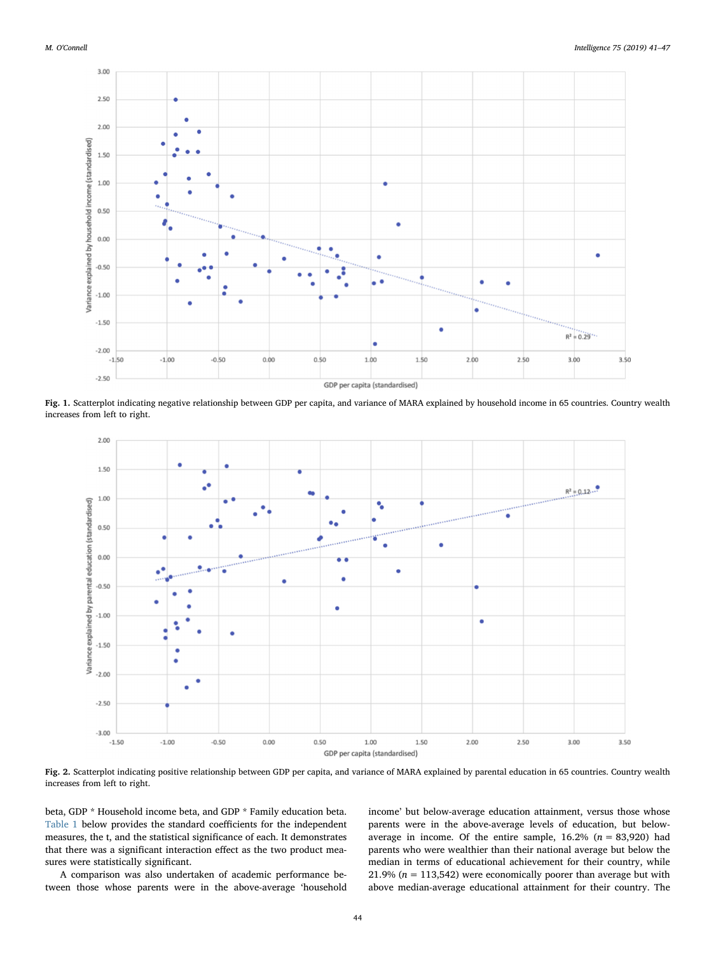<span id="page-3-0"></span>

Fig. 1. Scatterplot indicating negative relationship between GDP per capita, and variance of MARA explained by household income in 65 countries. Country wealth increases from left to right.

<span id="page-3-1"></span>

Fig. 2. Scatterplot indicating positive relationship between GDP per capita, and variance of MARA explained by parental education in 65 countries. Country wealth increases from left to right.

beta, GDP \* Household income beta, and GDP \* Family education beta. [Table 1](#page-4-1) below provides the standard coefficients for the independent measures, the t, and the statistical significance of each. It demonstrates that there was a significant interaction effect as the two product measures were statistically significant.

A comparison was also undertaken of academic performance between those whose parents were in the above-average 'household income' but below-average education attainment, versus those whose parents were in the above-average levels of education, but belowaverage in income. Of the entire sample,  $16.2\%$  ( $n = 83,920$ ) had parents who were wealthier than their national average but below the median in terms of educational achievement for their country, while 21.9% ( $n = 113,542$ ) were economically poorer than average but with above median-average educational attainment for their country. The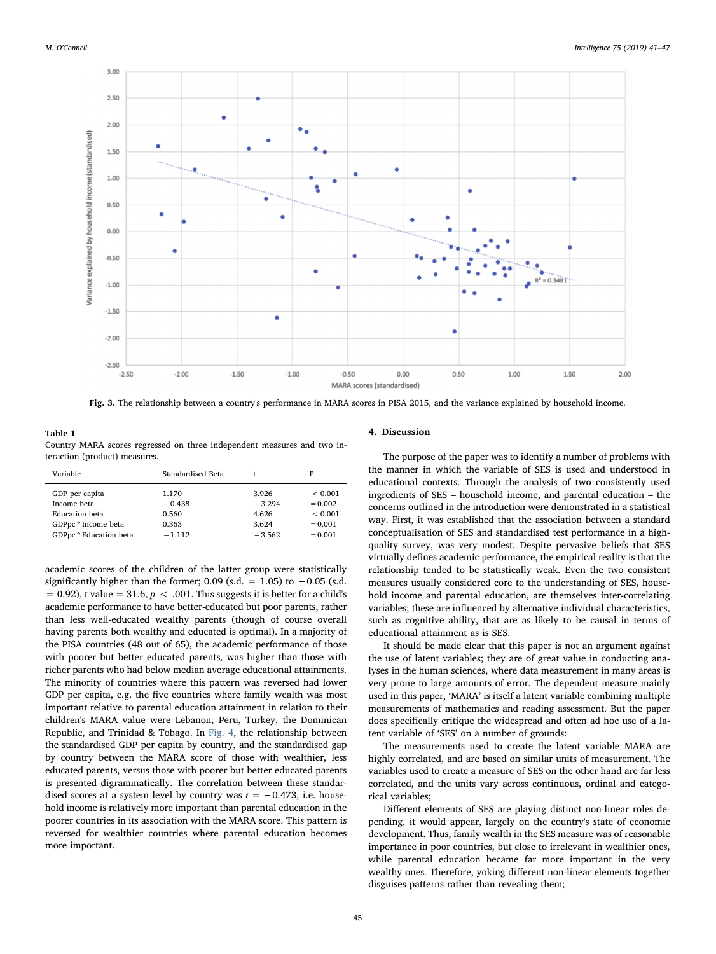<span id="page-4-0"></span>

Fig. 3. The relationship between a country's performance in MARA scores in PISA 2015, and the variance explained by household income.

# <span id="page-4-1"></span>Table 1 Country MARA scores regressed on three independent measures and two interaction (product) measures.

| Variable               | Standardised Beta |          | P.           |
|------------------------|-------------------|----------|--------------|
| GDP per capita         | 1.170             | 3.926    | ${}< 0.001$  |
| Income beta            | $-0.438$          | $-3.294$ | $= 0.002$    |
| Education beta         | 0.560             | 4.626    | ${}_{0.001}$ |
| GDPpc * Income beta    | 0.363             | 3.624    | $= 0.001$    |
| GDPpc * Education beta | $-1.112$          | $-3.562$ | $= 0.001$    |

academic scores of the children of the latter group were statistically significantly higher than the former; 0.09 (s.d. = 1.05) to  $-0.05$  (s.d.  $= 0.92$ ), t value  $= 31.6$ ,  $p < .001$ . This suggests it is better for a child's academic performance to have better-educated but poor parents, rather than less well-educated wealthy parents (though of course overall having parents both wealthy and educated is optimal). In a majority of the PISA countries (48 out of 65), the academic performance of those with poorer but better educated parents, was higher than those with richer parents who had below median average educational attainments. The minority of countries where this pattern was reversed had lower GDP per capita, e.g. the five countries where family wealth was most important relative to parental education attainment in relation to their children's MARA value were Lebanon, Peru, Turkey, the Dominican Republic, and Trinidad & Tobago. In [Fig. 4](#page-5-0), the relationship between the standardised GDP per capita by country, and the standardised gap by country between the MARA score of those with wealthier, less educated parents, versus those with poorer but better educated parents is presented digrammatically. The correlation between these standardised scores at a system level by country was  $r = -0.473$ , i.e. household income is relatively more important than parental education in the poorer countries in its association with the MARA score. This pattern is reversed for wealthier countries where parental education becomes more important.

#### 4. Discussion

The purpose of the paper was to identify a number of problems with the manner in which the variable of SES is used and understood in educational contexts. Through the analysis of two consistently used ingredients of SES – household income, and parental education – the concerns outlined in the introduction were demonstrated in a statistical way. First, it was established that the association between a standard conceptualisation of SES and standardised test performance in a highquality survey, was very modest. Despite pervasive beliefs that SES virtually defines academic performance, the empirical reality is that the relationship tended to be statistically weak. Even the two consistent measures usually considered core to the understanding of SES, household income and parental education, are themselves inter-correlating variables; these are influenced by alternative individual characteristics, such as cognitive ability, that are as likely to be causal in terms of educational attainment as is SES.

It should be made clear that this paper is not an argument against the use of latent variables; they are of great value in conducting analyses in the human sciences, where data measurement in many areas is very prone to large amounts of error. The dependent measure mainly used in this paper, 'MARA' is itself a latent variable combining multiple measurements of mathematics and reading assessment. But the paper does specifically critique the widespread and often ad hoc use of a latent variable of 'SES' on a number of grounds:

The measurements used to create the latent variable MARA are highly correlated, and are based on similar units of measurement. The variables used to create a measure of SES on the other hand are far less correlated, and the units vary across continuous, ordinal and categorical variables;

Different elements of SES are playing distinct non-linear roles depending, it would appear, largely on the country's state of economic development. Thus, family wealth in the SES measure was of reasonable importance in poor countries, but close to irrelevant in wealthier ones, while parental education became far more important in the very wealthy ones. Therefore, yoking different non-linear elements together disguises patterns rather than revealing them;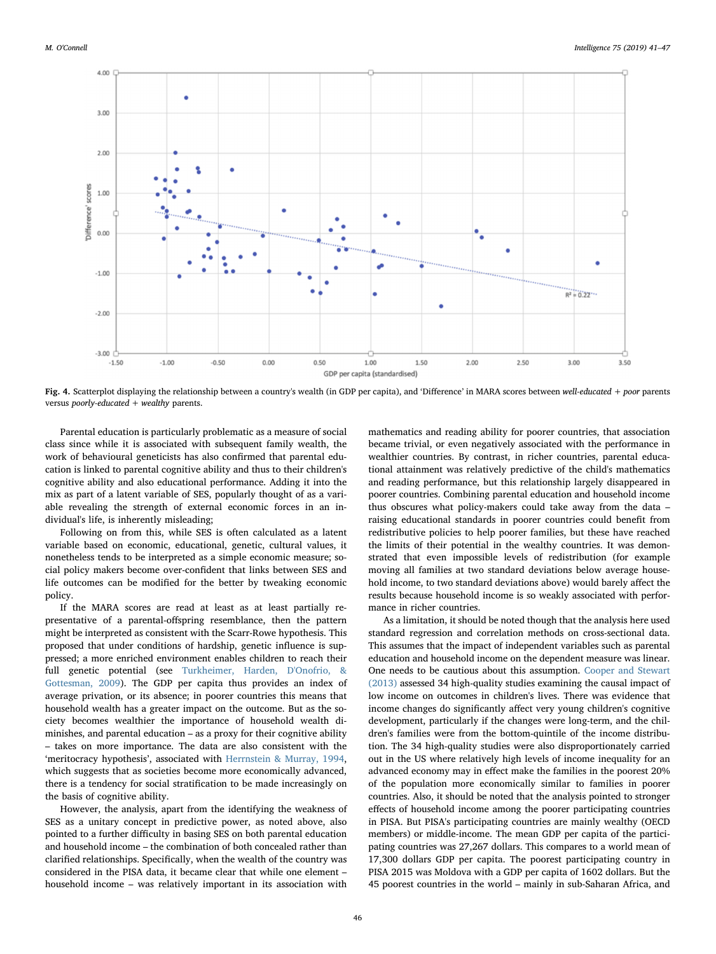<span id="page-5-0"></span>

Fig. 4. Scatterplot displaying the relationship between a country's wealth (in GDP per capita), and 'Difference' in MARA scores between well-educated + poor parents versus poorly-educated + wealthy parents.

Parental education is particularly problematic as a measure of social class since while it is associated with subsequent family wealth, the work of behavioural geneticists has also confirmed that parental education is linked to parental cognitive ability and thus to their children's cognitive ability and also educational performance. Adding it into the mix as part of a latent variable of SES, popularly thought of as a variable revealing the strength of external economic forces in an individual's life, is inherently misleading;

Following on from this, while SES is often calculated as a latent variable based on economic, educational, genetic, cultural values, it nonetheless tends to be interpreted as a simple economic measure; social policy makers become over-confident that links between SES and life outcomes can be modified for the better by tweaking economic policy.

If the MARA scores are read at least as at least partially representative of a parental-offspring resemblance, then the pattern might be interpreted as consistent with the Scarr-Rowe hypothesis. This proposed that under conditions of hardship, genetic influence is suppressed; a more enriched environment enables children to reach their full genetic potential (see [Turkheimer, Harden, D'Onofrio, &](#page-6-27) [Gottesman, 2009](#page-6-27)). The GDP per capita thus provides an index of average privation, or its absence; in poorer countries this means that household wealth has a greater impact on the outcome. But as the society becomes wealthier the importance of household wealth diminishes, and parental education – as a proxy for their cognitive ability – takes on more importance. The data are also consistent with the 'meritocracy hypothesis', associated with [Herrnstein & Murray, 1994](#page-6-28), which suggests that as societies become more economically advanced, there is a tendency for social stratification to be made increasingly on the basis of cognitive ability.

However, the analysis, apart from the identifying the weakness of SES as a unitary concept in predictive power, as noted above, also pointed to a further difficulty in basing SES on both parental education and household income – the combination of both concealed rather than clarified relationships. Specifically, when the wealth of the country was considered in the PISA data, it became clear that while one element – household income – was relatively important in its association with

mathematics and reading ability for poorer countries, that association became trivial, or even negatively associated with the performance in wealthier countries. By contrast, in richer countries, parental educational attainment was relatively predictive of the child's mathematics and reading performance, but this relationship largely disappeared in poorer countries. Combining parental education and household income thus obscures what policy-makers could take away from the data – raising educational standards in poorer countries could benefit from redistributive policies to help poorer families, but these have reached the limits of their potential in the wealthy countries. It was demonstrated that even impossible levels of redistribution (for example moving all families at two standard deviations below average household income, to two standard deviations above) would barely affect the results because household income is so weakly associated with performance in richer countries.

As a limitation, it should be noted though that the analysis here used standard regression and correlation methods on cross-sectional data. This assumes that the impact of independent variables such as parental education and household income on the dependent measure was linear. One needs to be cautious about this assumption. [Cooper and Stewart](#page-6-29) [\(2013\)](#page-6-29) assessed 34 high-quality studies examining the causal impact of low income on outcomes in children's lives. There was evidence that income changes do significantly affect very young children's cognitive development, particularly if the changes were long-term, and the children's families were from the bottom-quintile of the income distribution. The 34 high-quality studies were also disproportionately carried out in the US where relatively high levels of income inequality for an advanced economy may in effect make the families in the poorest 20% of the population more economically similar to families in poorer countries. Also, it should be noted that the analysis pointed to stronger effects of household income among the poorer participating countries in PISA. But PISA's participating countries are mainly wealthy (OECD members) or middle-income. The mean GDP per capita of the participating countries was 27,267 dollars. This compares to a world mean of 17,300 dollars GDP per capita. The poorest participating country in PISA 2015 was Moldova with a GDP per capita of 1602 dollars. But the 45 poorest countries in the world – mainly in sub-Saharan Africa, and